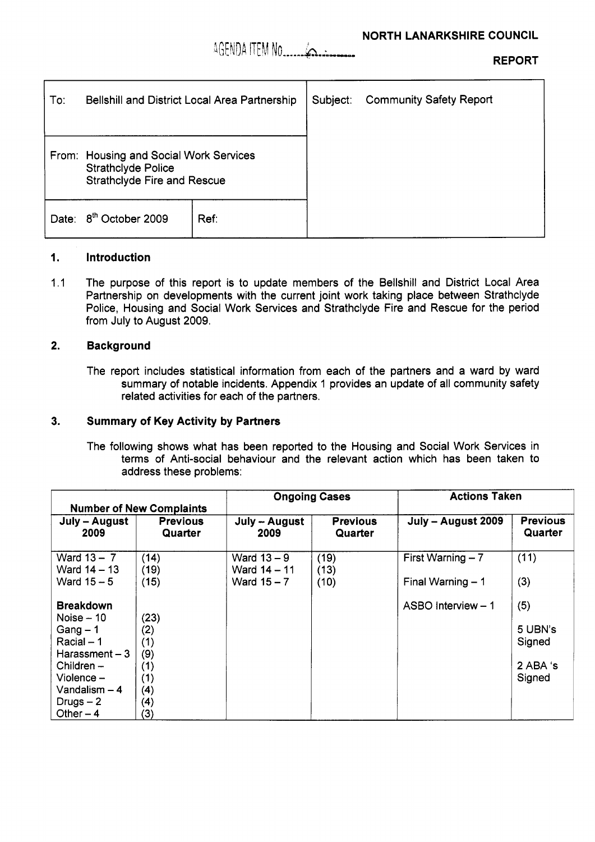

**REPORT** 

| To:                                                                                                       | Bellshill and District Local Area Partnership |      | Subject: | <b>Community Safety Report</b> |
|-----------------------------------------------------------------------------------------------------------|-----------------------------------------------|------|----------|--------------------------------|
|                                                                                                           |                                               |      |          |                                |
| From: Housing and Social Work Services<br><b>Strathclyde Police</b><br><b>Strathclyde Fire and Rescue</b> |                                               |      |          |                                |
| Date:                                                                                                     | 8 <sup>th</sup> October 2009                  | Ref: |          |                                |

# **I. Introduction**

1.1 The purpose of this report is to update members of the Bellshill and District Local Area Partnership on developments with the current joint work taking place between Strathclyde Police, Housing and Social Work Services and Strathclyde Fire and Rescue for the period from July to August 2009.

#### **2. Background**

The report includes statistical information from each of the partners and a ward by ward summary of notable incidents. Appendix 1 provides an update of all community safety related activities for each of the partners.

#### **3. Summary of Key Activity by Partners**

The following shows what has been reported to the Housing and Social Work Services in terms of Anti-social behaviour and the relevant action which has been taken to address these problems:

|                                 |                            | <b>Ongoing Cases</b>          |                            | <b>Actions Taken</b> |                            |
|---------------------------------|----------------------------|-------------------------------|----------------------------|----------------------|----------------------------|
| <b>Number of New Complaints</b> |                            |                               |                            |                      |                            |
| July – August<br>2009           | <b>Previous</b><br>Quarter | July -- August<br>2009        | <b>Previous</b><br>Quarter | July - August 2009   | <b>Previous</b><br>Quarter |
| Ward $13 - 7$<br>Ward 14 – 13   | (14)<br>(19)               | Ward $13 - 9$<br>Ward 14 - 11 | (19)<br>(13)               | First Warning $-7$   | (11)                       |
| Ward $15-5$                     | (15)                       | Ward $15 - 7$                 | (10)                       | Final Warning $-1$   | (3)                        |
| <b>Breakdown</b>                |                            |                               |                            | ASBO Interview - 1   | (5)                        |
| Noise - 10                      | (23)                       |                               |                            |                      |                            |
| Gang $-1$                       | (2)                        |                               |                            |                      | 5 UBN's                    |
| $Racial - 1$                    | (1)                        |                               |                            |                      | Signed                     |
| Harassment – 3                  | (9)                        |                               |                            |                      |                            |
| Children -                      | (1)                        |                               |                            |                      | 2 ABA 's                   |
| Violence –                      | (1)                        |                               |                            |                      | Signed                     |
| Vandalism – 4                   | (4)                        |                               |                            |                      |                            |
| Drugs $-2$                      | (4)                        |                               |                            |                      |                            |
| Other $-4$                      | (3)                        |                               |                            |                      |                            |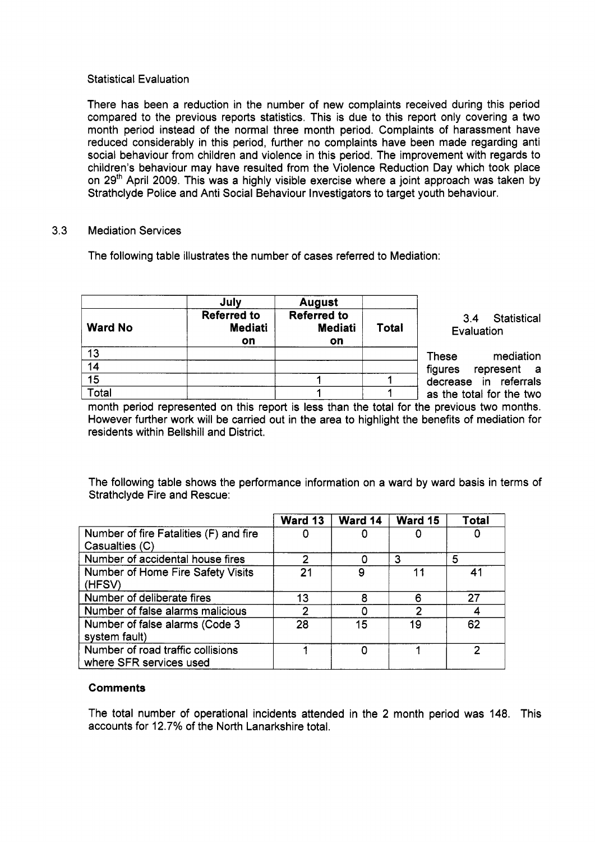## Statistical Evaluation

There has been a reduction in the number of new complaints received during this period compared to the previous reports statistics. This is due to this report only covering a two month period instead of the normal three month period. Complaints of harassment have reduced considerably in this period, further no complaints have been made regarding anti social behaviour from children and violence in this period. The improvement with regards to children's behaviour may have resulted from the Violence Reduction Day which took place on **2gth** April 2009. This was a highly visible exercise where a joint approach was taken by Strathclyde Police and Anti Social Behaviour Investigators to target youth behaviour.

## 3.3 Mediation Services

The following table illustrates the number of cases referred to Mediation:

| <b>Ward No</b>  | July<br><b>Referred to</b><br><b>Mediati</b><br>on | <b>August</b><br><b>Referred to</b><br><b>Mediati</b><br>on | <b>Total</b> | Statistical<br>3.4<br>Evaluation |
|-----------------|----------------------------------------------------|-------------------------------------------------------------|--------------|----------------------------------|
| 13              |                                                    |                                                             |              | mediation<br>These               |
| 14              |                                                    |                                                             |              | figures<br>represent a           |
| $\overline{15}$ |                                                    |                                                             |              | decrease in referrals            |
| Total           |                                                    |                                                             |              | as the total for the two         |

month period represented on this report is less than the total for the previous two months. However further work will be carried out in the area to highlight the benefits of mediation for residents within Bellshill and District.

The following table shows the performance information on a ward by ward basis in terms of Strathclyde Fire and Rescue:

|                                                              | Ward 13 | Ward 14 | Ward 15 | Total |
|--------------------------------------------------------------|---------|---------|---------|-------|
| Number of fire Fatalities (F) and fire<br>Casualties (C)     |         |         |         |       |
| Number of accidental house fires                             | 2       |         | 3       | 5     |
| Number of Home Fire Safety Visits<br>(HFSV)                  | 21      | 9       | 11      | 41    |
| Number of deliberate fires                                   | 13      | 8       |         | 27    |
| Number of false alarms malicious                             | 2       |         |         |       |
| Number of false alarms (Code 3<br>system fault)              | 28      | 15      | 19      | 62    |
| Number of road traffic collisions<br>where SFR services used |         |         |         | 2     |

# **Comments**

The total number of operational incidents attended in the **2** month period was 148. This accounts for 12.7% of the North Lanarkshire total.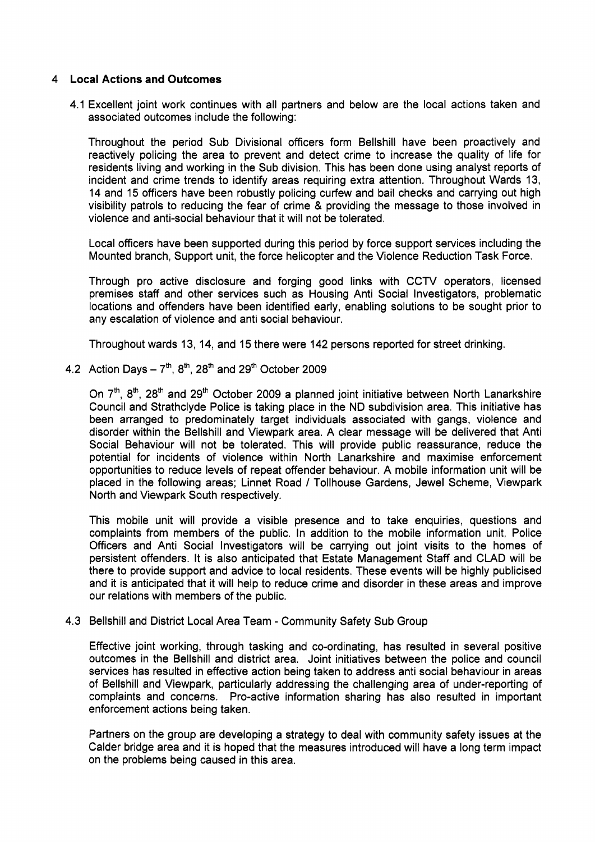## 4 **Local Actions and Outcomes**

4.1 Excellent joint work continues with all partners and below are the local actions taken and associated outcomes include the following:

Throughout the period Sub Divisional officers form Bellshill have been proactively and reactively policing the area to prevent and detect crime to increase the quality of life for residents living and working in the Sub division. This has been done using analyst reports of incident and crime trends to identify areas requiring extra attention. Throughout Wards 13, 14 and 15 officers have been robustly policing curfew and bail checks and carrying out high visibility patrols to reducing the fear of crime & providing the message to those involved in violence and anti-social behaviour that it will not be tolerated.

Local officers have been supported during this period by force support services including the Mounted branch, Support unit, the force helicopter and the Violence Reduction Task Force.

Through pro active disclosure and forging good links with CCTV operators, licensed premises staff and other services such as Housing Anti Social Investigators, problematic locations and offenders have been identified early, enabling solutions to be sought prior to any escalation of violence and anti social behaviour.

Throughout wards 13, 14, and 15 there were 142 persons reported for street drinking.

4.2 Action Days  $-7^{th}$ ,  $8^{th}$ ,  $28^{th}$  and  $29^{th}$  October 2009

On  $7<sup>th</sup>$ ,  $8<sup>th</sup>$ ,  $28<sup>th</sup>$  and  $29<sup>th</sup>$  October 2009 a planned joint initiative between North Lanarkshire Council and Strathclyde Police is taking place in the ND subdivision area. This initiative has been arranged to predominately target individuals associated with gangs, violence and disorder within the Bellshill and Viewpark area. A clear message will be delivered that Anti Social Behaviour will not be tolerated. This will provide public reassurance, reduce the potential for incidents of violence within North Lanarkshire and maximise enforcement opportunities to reduce levels of repeat offender behaviour. A mobile information unit will be placed in the following areas; Linnet Road / Tollhouse Gardens, Jewel Scheme, Viewpark North and Viewpark South respectively.

This mobile unit will provide a visible presence and to take enquiries, questions and complaints from members of the public. In addition to the mobile information unit, Police Officers and Anti Social Investigators will be carrying out joint visits to the homes of persistent offenders. It is also anticipated that Estate Management Staff and CLAD will be there to provide support and advice to local residents. These events will be highly publicised and it is anticipated that it will help to reduce crime and disorder in these areas and improve our relations with members of the public.

# 4.3 Bellshill and District Local Area Team - Community Safety Sub Group

Effective joint working, through tasking and co-ordinating, has resulted in several positive outcomes in the Bellshill and district area. Joint initiatives between the police and council services has resulted in effective action being taken to address anti social behaviour in areas of Bellshill and Viewpark, particularly addressing the challenging area of under-reporting of complaints and concerns. Pro-active information sharing has also resulted in important enforcement actions being taken.

Partners on the group are developing a strategy to deal with community safety issues at the Calder bridge area and it is hoped that the measures introduced will have a long term impact on the problems being caused in this area.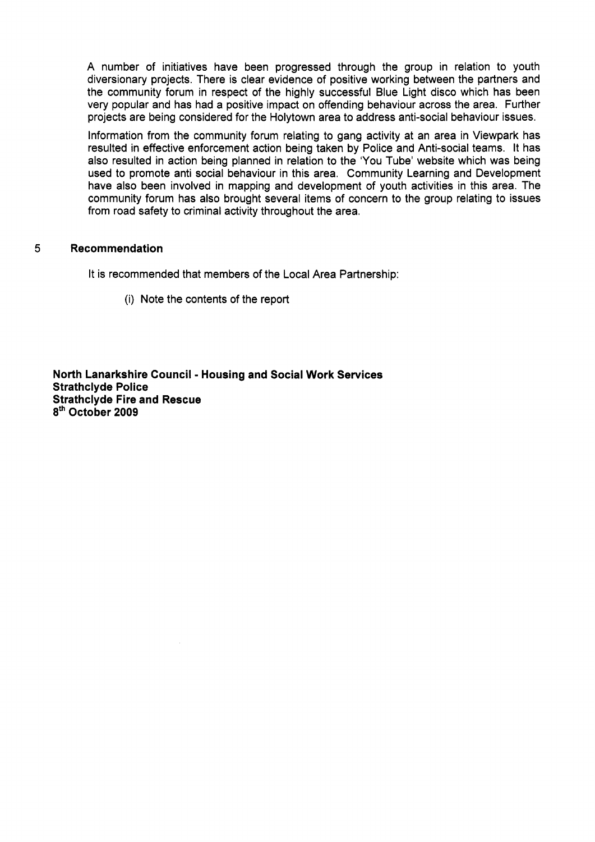A number of initiatives have been progressed through the group in relation to youth diversionary projects. There is clear evidence of positive working between the partners and the community forum in respect of the highly successful Blue Light disco which has been very popular and has had a positive impact on offending behaviour across the area. Further projects are being considered for the Holytown area to address anti-social behaviour issues.

Information from the community forum relating to gang activity at an area in Viewpark has resulted in effective enforcement action being taken by Police and Anti-social teams. It has also resulted in action being planned in relation to the 'You Tube' website which was being used to promote anti social behaviour in this area. Community Learning and Development have also been involved in mapping and development of youth activities in this area. The community forum has also brought several items of concern to the group relating to issues from road safety to criminal activity throughout the area.

#### 5 **Recommendation**

It is recommended that members of the Local Area Partnership:

(i) Note the contents of the report

**North Lanarkshire Council** - **Housing and Social Work Services Strathclyde Police Strathclyde Fire and Rescue 8th October 2009**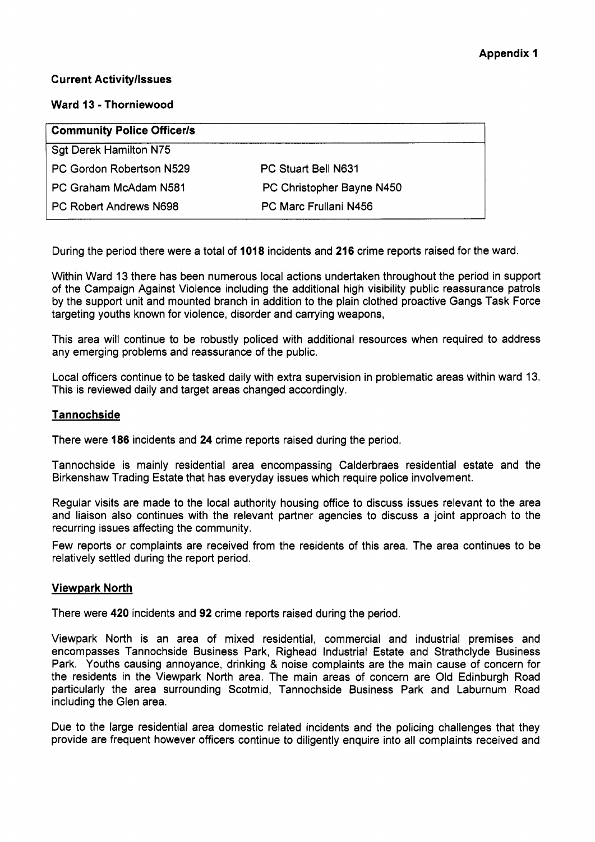# **Current Activityllssues**

# **Ward 13** - **Thorniewood**

| <b>Community Police Officer/s</b> |                              |  |  |  |
|-----------------------------------|------------------------------|--|--|--|
| Sgt Derek Hamilton N75            |                              |  |  |  |
| PC Gordon Robertson N529          | PC Stuart Bell N631          |  |  |  |
| PC Graham McAdam N581             | PC Christopher Bayne N450    |  |  |  |
| PC Robert Andrews N698            | <b>PC Marc Frullani N456</b> |  |  |  |

During the period there were a total of **1018** incidents and **216** crime reports raised for the ward.

Within Ward **13** there has been numerous local actions undertaken throughout the period in support of the Campaign Against Violence including the additional high visibility public reassurance patrols by the support unit and mounted branch in addition to the plain clothed proactive Gangs Task Force targeting youths known for violence, disorder and carrying weapons,

This area will continue to be robustly policed with additional resources when required to address any emerging problems and reassurance of the public.

Local officers continue to be tasked daily with extra supervision in problematic areas within ward 13. This is reviewed daily and target areas changed accordingly.

## **Tannochside**

There were **186** incidents and **24** crime reports raised during the period.

Tannochside is mainly residential area encompassing Calderbraes residential estate and the Birkenshaw Trading Estate that has everyday issues which require police involvement.

Regular visits are made to the local authority housing office to discuss issues relevant to the area and liaison also continues with the relevant partner agencies to discuss a joint approach to the recurring issues affecting the community.

Few reports or complaints are received from the residents of this area. The area continues to be relatively settled during the report period.

# **Viewpark North**

There were **420** incidents and **92** crime reports raised during the period.

Viewpark North is an area of mixed residential, commercial and industrial premises and encompasses Tannochside Business Park, Righead Industrial Estate and Strathclyde Business Park. Youths causing annoyance, drinking & noise complaints are the main cause of concern for the residents in the Viewpark North area. The main areas of concern are Old Edinburgh Road particularly the area surrounding Scotmid, Tannochside Business Park and Laburnum Road including the Glen area.

Due to the large residential area domestic related incidents and the policing challenges that they provide are frequent however officers continue to diligently enquire into all complaints received and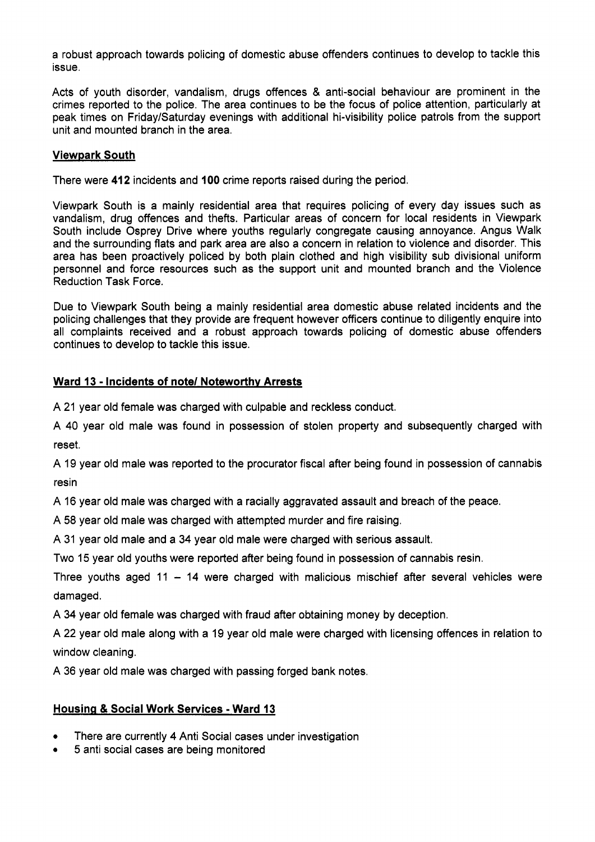a robust approach towards policing of domestic abuse offenders continues to develop to tackle this issue.

Acts of youth disorder, vandalism, drugs offences & anti-social behaviour are prominent in the crimes reported to the police. The area continues to be the focus of police attention, particularly at peak times on FridaylSaturday evenings with additional hi-visibility police patrols from the support unit and mounted branch in the area.

# **Viewpark South**

There were **412** incidents and **100** crime reports raised during the period.

Viewpark South is a mainly residential area that requires policing of every day issues such as vandalism, drug offences and thefts. Particular areas of concern for local residents in Viewpark South include Osprey Drive where youths regularly congregate causing annoyance. Angus Walk and the surrounding flats and park area are also a concern in relation to violence and disorder. This area has been proactively policed by both plain clothed and high visibility sub divisional uniform personnel and force resources such as the support unit and mounted branch and the Violence Reduction Task Force.

Due to Viewpark South being a mainly residential area domestic abuse related incidents and the policing challenges that they provide are frequent however officers continue to diligently enquire into all complaints received and a robust approach towards policing of domestic abuse offenders continues to develop to tackle this issue.

# **Ward 13** - **Incidents of note/ Noteworthv Arrests**

A 21 year old female was charged with culpable and reckless conduct.

A 40 year old male was found in possession of stolen property and subsequently charged with reset.

A 19 year old male was reported to the procurator fiscal after being found in possession of cannabis resin

A 16 year old male was charged with a racially aggravated assault and breach of the peace.

A 58 year old male was charged with attempted murder and fire raising.

A 31 year old male and a 34 year old male were charged with serious assault.

Two 15 year old youths were reported after being found in possession of cannabis resin.

Three youths aged 11  $-$  14 were charged with malicious mischief after several vehicles were damaged.

A 34 year old female was charged with fraud after obtaining money by deception.

A 22 year old male along with a 19 year old male were charged with licensing offences in relation to window cleaning.

A 36 year old male was charged with passing forged bank notes.

# **Housing** & **Social Work Services** - **Ward 13**

- *0*  There are currently **4** Anti Social cases under investigation
- *0*  5 anti social cases are being monitored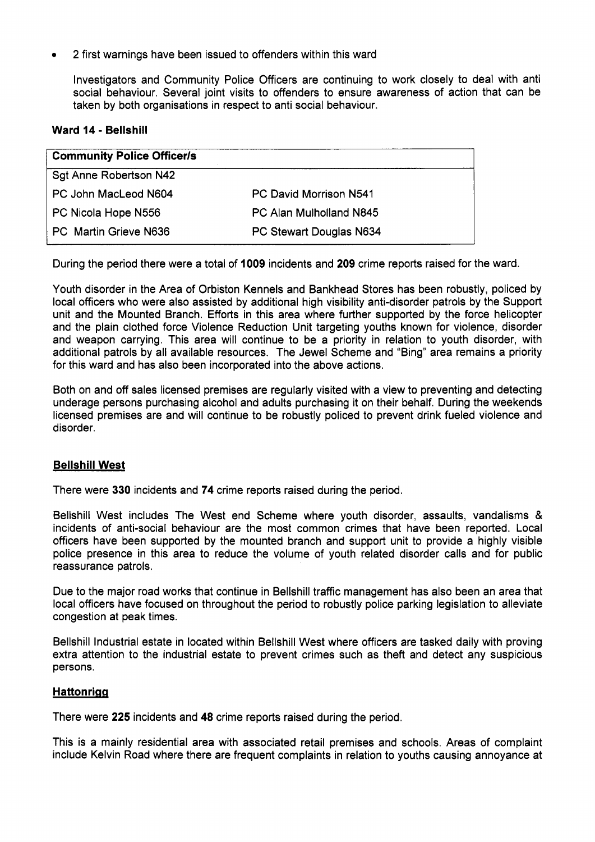2 first warnings have been issued to offenders within this ward

Investigators and Community Police Officers are continuing to work closely to deal with anti social behaviour. Several joint visits to offenders to ensure awareness of action that can be taken by both organisations in respect to anti social behaviour.

## **Ward 14** - **Bellshill**

| <b>Community Police Officer/s</b> |                         |  |  |  |
|-----------------------------------|-------------------------|--|--|--|
| Sgt Anne Robertson N42            |                         |  |  |  |
| PC John MacLeod N604              | PC David Morrison N541  |  |  |  |
| PC Nicola Hope N556               | PC Alan Mulholland N845 |  |  |  |
| l PC. Martin Grieve N636          | PC Stewart Douglas N634 |  |  |  |

During the period there were a total of **1009** incidents and **209** crime reports raised for the ward.

Youth disorder in the Area of Orbiston Kennels and Bankhead Stores has been robustly, policed by local officers who were also assisted by additional high visibility anti-disorder patrols by the Support unit and the Mounted Branch. Efforts in this area where further supported by the force helicopter and the plain clothed force Violence Reduction Unit targeting youths known for violence, disorder and weapon carrying. This area will continue to be a priority in relation to youth disorder, with additional patrols by all available resources. The Jewel Scheme and "Bing" area remains a priority for this ward and has also been incorporated into the above actions.

Both on and off sales licensed premises are regularly visited with a view to preventing and detecting underage persons purchasing alcohol and adults purchasing it on their behalf. During the weekends licensed premises are and will continue to be robustly policed to prevent drink fueled violence and disorder.

# **Bellshill West**

There were *330* incidents and **74** crime reports raised during the period.

Bellshill West includes The West end Scheme where youth disorder, assaults, vandalisms & incidents of anti-social behaviour are the most common crimes that have been reported. Local officers have been supported by the mounted branch and support unit to provide a highly visible police presence in this area to reduce the volume of youth related disorder calls and for public reassurance patrols.

Due to the major road works that continue in Bellshill traffic management has also been an area that local officers have focused on throughout the period to robustly police parking legislation to alleviate congestion at peak times.

Bellshill Industrial estate in located within Bellshill West where officers are tasked daily with proving extra attention to the industrial estate to prevent crimes such as theft and detect any suspicious persons.

# **Hattonrigg**

There were **225** incidents and **48** crime reports raised during the period.

This is a mainly residential area with associated retail premises and schools. Areas of complaint include Kelvin Road where there are frequent complaints in relation to youths causing annoyance at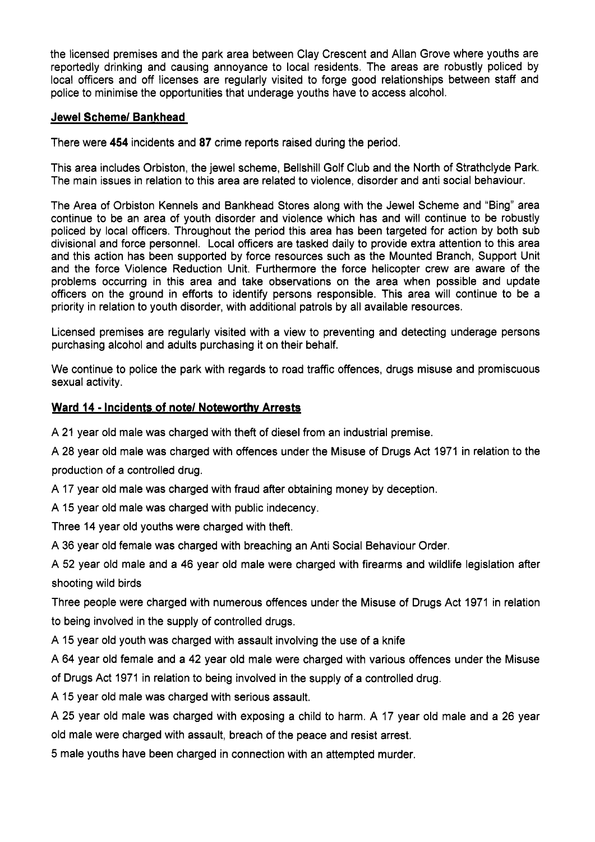the licensed premises and the park area between Clay Crescent and Allan Grove where youths are reportedly drinking and causing annoyance to local residents. The areas are robustly policed by local officers and off licenses are regularly visited to forge good relationships between staff and police to minimise the opportunities that underage youths have to access alcohol.

# **Jewel Scheme/ Bankhead**

There were **454** incidents and **87** crime reports raised during the period.

This area includes Orbiston, the jewel scheme, Bellshill Golf Club and the North of Strathclyde Park. The main issues in relation to this area are related to violence, disorder and anti social behaviour.

The Area of Orbiston Kennels and Bankhead Stores along with the Jewel Scheme and "Bing" area continue to be an area of youth disorder and violence which has and will continue to be robustly policed by local officers. Throughout the period this area has been targeted for action by both sub divisional and force personnel. Local officers are tasked daily to provide extra attention to this area and this action has been supported by force resources such as the Mounted Branch, Support Unit and the force Violence Reduction Unit. Furthermore the force helicopter crew are aware of the problems occurring in this area and take observations on the area when possible and update officers on the ground in efforts to identify persons responsible. This area will continue to be a priority in relation to youth disorder, with additional patrols by all available resources.

Licensed premises are regularly visited with a view to preventing and detecting underage persons purchasing alcohol and adults purchasing it on their behalf.

We continue to police the park with regards to road traffic offences, drugs misuse and promiscuous sexual activity.

# **Ward 14** - **Incidents of note/ Noteworthv Arrests**

A 21 year old male was charged with theft of diesel from an industrial premise.

A **28** year old male was charged with offences under the Misuse of Drugs Act 1971 in relation to the production of a controlled drug.

A 17 year old male was charged with fraud after obtaining money by deception.

A 15 year old male was charged with public indecency.

Three 14 year old youths were charged with theft.

A 36 year old female was charged with breaching an Anti Social Behaviour Order.

A 52 year old male and a 46 year old male were charged with firearms and wildlife legislation after shooting wild birds

Three people were charged with numerous offences under the Misuse of Drugs Act 1971 in relation to being involved in the supply of controlled drugs.

A 15 year old youth was charged with assault involving the use of a knife

A 64 year old female and a 42 year old male were charged with various offences under the Misuse of Drugs Act 1971 in relation to being involved in the supply of a controlled drug.

A 15 year old male was charged with serious assault.

A 25 year old male was charged with exposing a child to harm. A 17 year old male and a 26 year old male were charged with assault, breach of the peace and resist arrest.

5 male youths have been charged in connection with an attempted murder.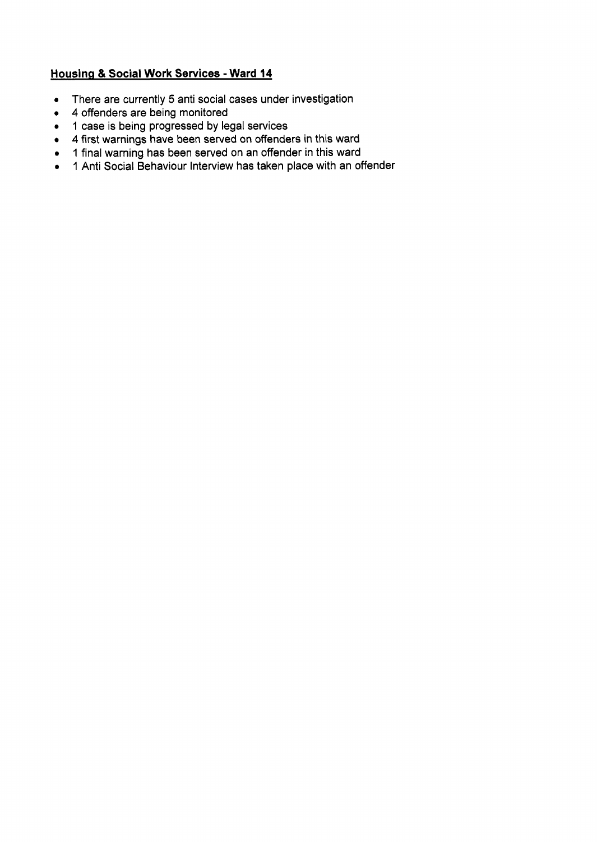# **Housing & Social Work Services - Ward 14**

- There are currently **5** anti social cases under investigation
- **4** offenders are being monitored
- 1 case is being progressed by legal services
- **4** first warnings have been served on offenders in this ward
- 1 final warning has been served on an offender in this ward
- 1 Anti Social Behaviour Interview has taken place with an offender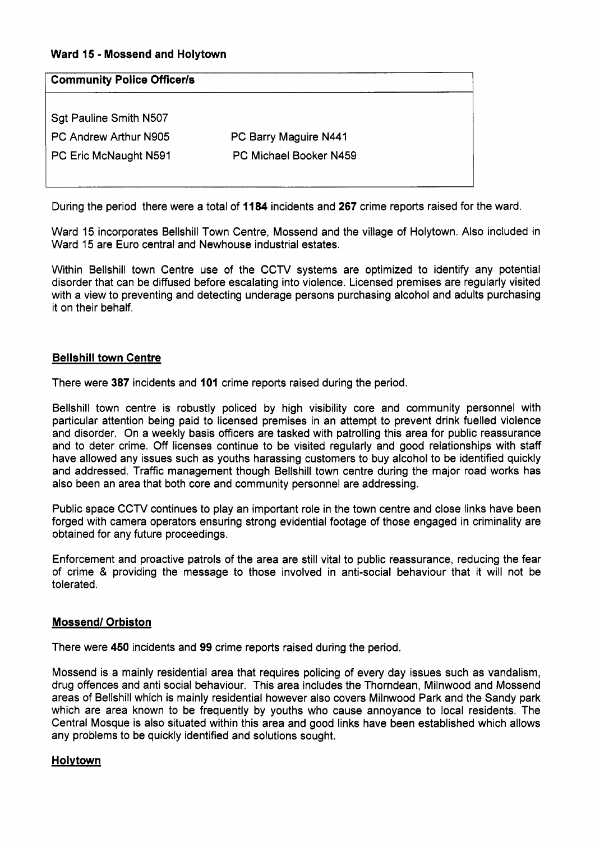# **Ward 15** - **Mossend and Holytown**

| <b>Community Police Officer/s</b> |                        |  |  |  |
|-----------------------------------|------------------------|--|--|--|
| Sgt Pauline Smith N507            |                        |  |  |  |
| PC Andrew Arthur N905             | PC Barry Maguire N441  |  |  |  |
| PC Eric McNaught N591             | PC Michael Booker N459 |  |  |  |
|                                   |                        |  |  |  |

During the period there were a total of **1184** incidents and **267** crime reports raised for the ward.

Ward 15 incorporates Bellshill Town Centre, Mossend and the village of Holytown. Also included in Ward 15 are Euro central and Newhouse industrial estates.

Within Bellshill town Centre use of the CCTV systems are optimized to identify any potential disorder that can be diffused before escalating into violence. Licensed premises are regularly visited with a view to preventing and detecting underage persons purchasing alcohol and adults purchasing it on their behalf.

## **Bellshill town Centre**

There were **387** incidents and **101** crime reports raised during the period.

Bellshill town centre is robustly policed by high visibility core and community personnel with particular attention being paid to licensed premises in an attempt to prevent drink fuelled violence and disorder. On a weekly basis officers are tasked with patrolling this area for public reassurance and to deter crime. Off licenses continue to be visited regularly and good relationships with staff have allowed any issues such as youths harassing customers to buy alcohol to be identified quickly and addressed. Traffic management though Bellshill town centre during the major road works has also been an area that both core and community personnel are addressing.

Public space CCTV continues to play an important role in the town centre and close links have been forged with camera operators ensuring strong evidential footage of those engaged in criminality are obtained for any future proceedings.

Enforcement and proactive patrols of the area are still vital to public reassurance, reducing the fear of crime & providing the message to those involved in anti-social behaviour that it will not be tolerated.

# **Mossend/ Orbiston**

There were **450** incidents and **99** crime reports raised during the period.

Mossend is a mainly residential area that requires policing of every day issues such as vandalism, drug offences and anti social behaviour. This area includes the Thorndean, Milnwood and Mossend areas of Bellshill which is mainly residential however also covers Milnwood Park and the Sandy park which are area known to be frequently by youths who cause annoyance to local residents. The Central Mosque is also situated within this area and good links have been established which allows any problems to be quickly identified and solutions sought.

# **Holvtown**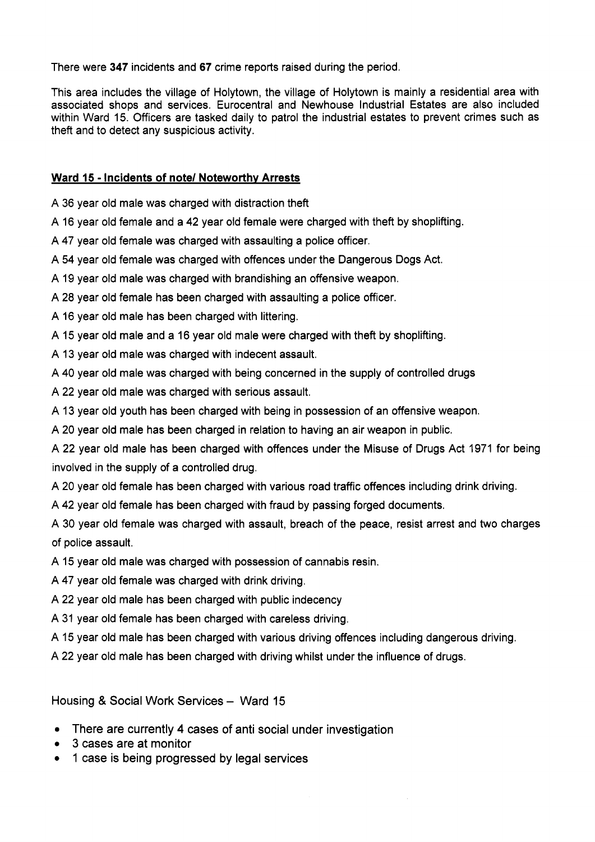There were **347** incidents and **67** crime reports raised during the period.

This area includes the village of Holytown, the village of Holytown is mainly a residential area with associated shops and services. Eurocentral and Newhouse Industrial Estates are also included within Ward 15. Officers are tasked daily to patrol the industrial estates to prevent crimes such as theft and to detect any suspicious activity.

# **Ward 15** - **Incidents of note/ Noteworthy Arrests**

A 36 year old male was charged with distraction theft

A 16 year old female and a 42 year old female were charged with theft by shoplifting.

A **47** year old female was charged with assaulting a police officer.

A 54 year old female was charged with offences under the Dangerous Dogs Act.

A 19 year old male was charged with brandishing an offensive weapon.

A 28 year old female has been charged with assaulting a police officer.

A 16 year old male has been charged with littering.

A 15 year old male and a 16 year old male were charged with theft by shoplifting.

A 13 year old male was charged with indecent assault.

A 40 year old male was charged with being concerned in the supply of controlled drugs

A 22 year old male was charged with serious assault.

A 13 year old youth has been charged with being in possession of an offensive weapon.

A 20 year old male has been charged in relation to having an air weapon in public.

A 22 year old male has been charged with offences under the Misuse of Drugs Act 1971 for being involved in the supply of a controlled drug.

A 20 year old female has been charged with various road traffic offences including drink driving.

A 42 year old female has been charged with fraud by passing forged documents.

A 30 year old female was charged with assault, breach of the peace, resist arrest and two charges of police assault.

A 15 year old male was charged with possession of cannabis resin.

A 47 year old female was charged with drink driving.

A 22 year old male has been charged with public indecency

A 31 year old female has been charged with careless driving.

A 15 year old male has been charged with various driving offences including dangerous driving.

A 22 year old male has been charged with driving whilst under the influence of drugs.

Housing & Social Work Services - Ward 15

- *<sup>0</sup>*There are currently **4** cases of anti social under investigation
- *<sup>0</sup>*3 cases are at monitor
- *0* 1 case is being progressed by legal services